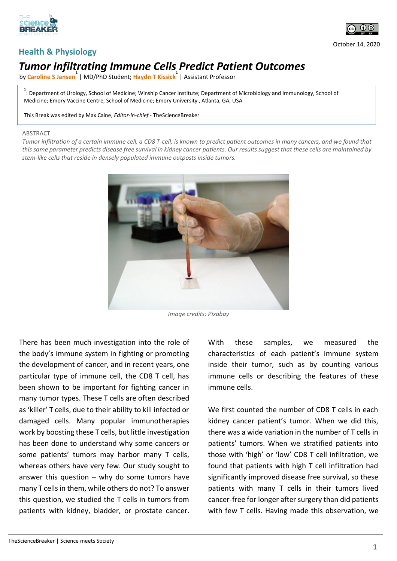



October 14, 2020

## **Health & Physiology**

## *Tumor Infiltrating Immune Cells Predict Patient Outcomes*

by **Caroline S Jansen 1** | MD/PhD Student; **Haydn T Kissick 1** | Assistant Professor

<sup>1</sup> : Department of Urology, School of Medicine; Winship Cancer Institute; Department of Microbiology and Immunology, School of Medicine; Emory Vaccine Centre, School of Medicine; Emory University , Atlanta, GA, USA

This Break was edited by Max Caine, *Editor-in-chief* - TheScienceBreaker

## **ABSTRACT**

*Tumor infiltration of a certain immune cell, a CD8 T-cell, is known to predict patient outcomes in many cancers, and we found that this same parameter predicts disease free survival in kidney cancer patients. Our results suggest that these cells are maintained by stem-like cells that reside in densely populated immune outposts inside tumors.*



*Image credits: Pixabay*

There has been much investigation into the role of the body's immune system in fighting or promoting the development of cancer, and in recent years, one particular type of immune cell, the CD8 T cell, has been shown to be important for fighting cancer in many tumor types. These T cells are often described as 'killer' T cells, due to their ability to kill infected or damaged cells. Many popular immunotherapies work by boosting these T cells, but little investigation has been done to understand why some cancers or some patients' tumors may harbor many T cells, whereas others have very few. Our study sought to answer this question  $-$  why do some tumors have many T cells in them, while others do not? To answer this question, we studied the T cells in tumors from patients with kidney, bladder, or prostate cancer.

With these samples, we measured the characteristics of each patient's immune system inside their tumor, such as by counting various immune cells or describing the features of these immune cells.

We first counted the number of CD8 T cells in each kidney cancer patient's tumor. When we did this, there was a wide variation in the number of T cells in patients' tumors. When we stratified patients into those with 'high' or 'low' CD8 T cell infiltration, we found that patients with high T cell infiltration had significantly improved disease free survival, so these patients with many T cells in their tumors lived cancer-free for longer after surgery than did patients with few T cells. Having made this observation, we